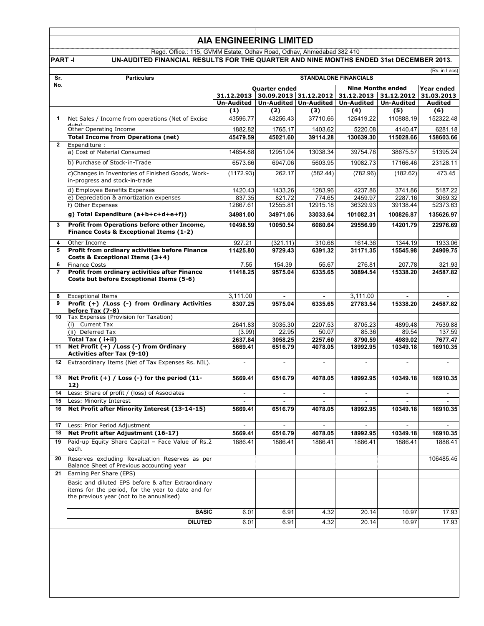## **AIA ENGINEERING LIMITED**

Regd. Office.: 115, GVMM Estate, Odhav Road, Odhav, Ahmedabad 382 410

**PART -I UN-AUDITED FINANCIAL RESULTS FOR THE QUARTER AND NINE MONTHS ENDED 31st DECEMBER 2013.**

|                |                                                                                                                                                      | (Rs. in Lacs)<br><b>STANDALONE FINANCIALS</b>                                                      |                          |                       |                          |                          |                          |
|----------------|------------------------------------------------------------------------------------------------------------------------------------------------------|----------------------------------------------------------------------------------------------------|--------------------------|-----------------------|--------------------------|--------------------------|--------------------------|
| Sr.<br>No.     | <b>Particulars</b>                                                                                                                                   |                                                                                                    |                          |                       |                          |                          |                          |
|                |                                                                                                                                                      | <b>Nine Months ended</b><br>Year ended<br><b>Quarter ended</b><br>31.12.2013 31.12.2012 31.03.2013 |                          |                       |                          |                          |                          |
|                |                                                                                                                                                      | 31.12.2013                                                                                         |                          | 30.09.2013 31.12.2012 |                          |                          |                          |
|                |                                                                                                                                                      | <b>Un-Audited</b>                                                                                  |                          | Un-Audited Un-Audited | <b>Un-Audited</b>        | <b>Un-Audited</b>        | Audited                  |
|                |                                                                                                                                                      | (1)                                                                                                | (2)                      | (3)                   | (4)                      | (5)                      | (6)                      |
| 1              | Net Sales / Income from operations (Net of Excise                                                                                                    | 43596.77                                                                                           | 43256.43                 | 37710.66              | 125419.22                | 110888.19                | 152322.48                |
|                | Other Operating Income                                                                                                                               | 1882.82                                                                                            | 1765.17                  | 1403.62               | 5220.08                  | 4140.47                  | 6281.18                  |
|                | <b>Total Income from Operations (net)</b>                                                                                                            | 45479.59                                                                                           | 45021.60                 | 39114.28              | 130639.30                | 115028.66                | 158603.66                |
| $\overline{2}$ | Expenditure :                                                                                                                                        |                                                                                                    |                          |                       |                          |                          |                          |
|                | a) Cost of Material Consumed                                                                                                                         | 14654.88                                                                                           | 12951.04                 | 13038.34              | 39754.78                 | 38675.57                 | 51395.24                 |
|                | b) Purchase of Stock-in-Trade                                                                                                                        | 6573.66                                                                                            | 6947.06                  | 5603.95               | 19082.73                 | 17166.46                 | 23128.11                 |
|                | c)Changes in Inventories of Finished Goods, Work-<br>in-progress and stock-in-trade                                                                  | (1172.93)                                                                                          | 262.17                   | (582.44)              | (782.96)                 | (182.62)                 | 473.45                   |
|                | d) Employee Benefits Expenses                                                                                                                        | 1420.43                                                                                            | 1433.26                  | 1283.96               | 4237.86                  | 3741.86                  | 5187.22                  |
|                | e) Depreciation & amortization expenses                                                                                                              | 837.35                                                                                             | 821.72                   | 774.65                | 2459.97                  | 2287.16                  | 3069.32                  |
|                | f) Other Expenses                                                                                                                                    | 12667.61                                                                                           | 12555.81                 | 12915.18              | 36329.93                 | 39138.44                 | 52373.63                 |
|                | g) Total Expenditure (a+b+c+d+e+f))                                                                                                                  | 34981.00                                                                                           | 34971.06                 | 33033.64              | 101082.31                | 100826.87                | 135626.97                |
| 3              | Profit from Operations before other Income,<br>Finance Costs & Exceptional Items (1-2)                                                               | 10498.59                                                                                           | 10050.54                 | 6080.64               | 29556.99                 | 14201.79                 | 22976.69                 |
| 4              | Other Income                                                                                                                                         | 927.21                                                                                             | (321.11)                 | 310.68                | 1614.36                  | 1344.19                  | 1933.06                  |
| 5              | Profit from ordinary activities before Finance                                                                                                       | 11425.80                                                                                           | 9729.43                  | 6391.32               | 31171.35                 | 15545.98                 | 24909.75                 |
| 6              | Costs & Exceptional Items (3+4)<br><b>Finance Costs</b>                                                                                              | 7.55                                                                                               | 154.39                   | 55.67                 | 276.81                   | 207.78                   | 321.93                   |
| 7              | Profit from ordinary activities after Finance                                                                                                        | 11418.25                                                                                           | 9575.04                  | 6335.65               | 30894.54                 | 15338.20                 | 24587.82                 |
|                | Costs but before Exceptional Items (5-6)                                                                                                             |                                                                                                    |                          |                       |                          |                          |                          |
| 8              | <b>Exceptional Items</b>                                                                                                                             | 3,111.00                                                                                           |                          |                       | 3,111.00                 |                          |                          |
| 9              | Profit (+) /Loss (-) from Ordinary Activities<br>before Tax (7-8)                                                                                    | 8307.25                                                                                            | 9575.04                  | 6335.65               | 27783.54                 | 15338.20                 | 24587.82                 |
| 10             | Tax Expenses (Provision for Taxation)                                                                                                                |                                                                                                    |                          |                       |                          |                          |                          |
|                | (i) Current Tax                                                                                                                                      | 2641.83                                                                                            | 3035.30                  | 2207.53               | 8705.23                  | 4899.48                  | 7539.88                  |
|                | (ii) Deferred Tax                                                                                                                                    | (3.99)                                                                                             | 22.95                    | 50.07                 | 85.36                    | 89.54                    | 137.59                   |
|                | Total Tax ( i+ii)                                                                                                                                    | 2637.84                                                                                            | 3058.25                  | 2257.60               | 8790.59                  | 4989.02                  | 7677.47                  |
| 11             | Net Profit (+) / Loss (-) from Ordinary<br><b>Activities after Tax (9-10)</b>                                                                        | 5669.41                                                                                            | 6516.79                  | 4078.05               | 18992.95                 | 10349.18                 | 16910.35                 |
| 12             | Extraordinary Items (Net of Tax Expenses Rs. NIL).                                                                                                   |                                                                                                    | $\blacksquare$           |                       |                          | $\blacksquare$           |                          |
| 13             | Net Profit $(+)$ / Loss $(-)$ for the period $(11 -$<br>12)                                                                                          | 5669.41                                                                                            | 6516.79                  | 4078.05               | 18992.95                 | 10349.18                 | 16910.35                 |
| 14             | Less: Share of profit / (loss) of Associates                                                                                                         |                                                                                                    | $\overline{\phantom{a}}$ |                       |                          | $\overline{\phantom{a}}$ | $\overline{\phantom{a}}$ |
| 15             | Less: Minority Interest                                                                                                                              |                                                                                                    |                          |                       |                          |                          |                          |
| 16             | Net Profit after Minority Interest (13-14-15)                                                                                                        | 5669.41                                                                                            | 6516.79                  | 4078.05               | 18992.95                 | 10349.18                 | 16910.35                 |
| 17             | Less: Prior Period Adjustment                                                                                                                        | $\sim$                                                                                             | $\sim$                   |                       | $\overline{\phantom{a}}$ | $\overline{\phantom{a}}$ | $\sim$ $-$               |
| 18             | Net Profit after Adjustment (16-17)                                                                                                                  | 5669.41                                                                                            | 6516.79                  | 4078.05               | 18992.95                 | 10349.18                 | 16910.35                 |
| 19             | Paid-up Equity Share Capital - Face Value of Rs.2<br>each.                                                                                           | 1886.41                                                                                            | 1886.41                  | 1886.41               | 1886.41                  | 1886.41                  | 1886.41                  |
| 20             | Reserves excluding Revaluation Reserves as per<br>Balance Sheet of Previous accounting year                                                          |                                                                                                    |                          |                       |                          |                          | 106485.45                |
| 21             | Earning Per Share (EPS)                                                                                                                              |                                                                                                    |                          |                       |                          |                          |                          |
|                | Basic and diluted EPS before & after Extraordinary<br>items for the period, for the year to date and for<br>the previous year (not to be annualised) |                                                                                                    |                          |                       |                          |                          |                          |
|                | <b>BASIC</b>                                                                                                                                         | 6.01                                                                                               | 6.91                     | 4.32                  | 20.14                    | 10.97                    | 17.93                    |
|                | <b>DILUTED</b>                                                                                                                                       | 6.01                                                                                               | 6.91                     | 4.32                  | 20.14                    | 10.97                    | 17.93                    |
|                |                                                                                                                                                      |                                                                                                    |                          |                       |                          |                          |                          |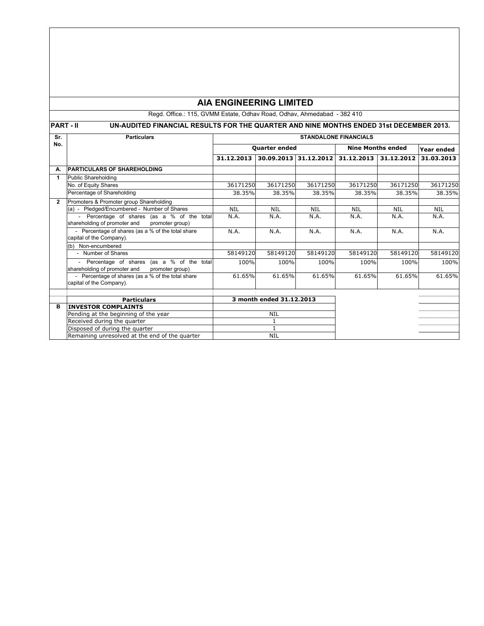## **AIA ENGINEERING LIMITED**

Regd. Office.: 115, GVMM Estate, Odhav Road, Odhav, Ahmedabad - 382 410

# **PART - II** UN-AUDITED FINANCIAL RESULTS FOR THE QUARTER AND NINE MONTHS ENDED 31st DECEMBER 2013.

| Sr.            | <b>Particulars</b>                                                                           | <b>STANDALONE FINANCIALS</b> |                          |                       |                          |                       |            |
|----------------|----------------------------------------------------------------------------------------------|------------------------------|--------------------------|-----------------------|--------------------------|-----------------------|------------|
| No.            |                                                                                              | Quarter ended                |                          |                       | <b>Nine Months ended</b> |                       | Year ended |
|                |                                                                                              | 31.12.2013                   |                          | 30.09.2013 31.12.2012 |                          | 31.12.2013 31.12.2012 | 31.03.2013 |
| А.             | <b>PARTICULARS OF SHAREHOLDING</b>                                                           |                              |                          |                       |                          |                       |            |
| 1              | <b>Public Shareholding</b>                                                                   |                              |                          |                       |                          |                       |            |
|                | No. of Equity Shares                                                                         | 36171250                     | 36171250                 | 36171250              | 36171250                 | 36171250              | 36171250   |
|                | Percentage of Shareholding                                                                   | 38.35%                       | 38.35%                   | 38.35%                | 38.35%                   | 38.35%                | 38.35%     |
| $\overline{2}$ | Promoters & Promoter group Shareholding                                                      |                              |                          |                       |                          |                       |            |
|                | (a) - Pledged/Encumbered - Number of Shares                                                  | <b>NIL</b>                   | <b>NIL</b>               | <b>NIL</b>            | <b>NIL</b>               | <b>NIL</b>            | <b>NIL</b> |
|                | Percentage of shares (as a % of the total<br>$\overline{\phantom{a}}$                        | N.A.                         | N.A.                     | N.A.                  | N.A.                     | N.A.                  | N.A.       |
|                | shareholding of promoter and<br>promoter group)                                              |                              |                          |                       |                          |                       |            |
|                | - Percentage of shares (as a % of the total share                                            | N.A.                         | N.A.                     | N.A.                  | N.A.                     | N.A.                  | N.A.       |
|                | capital of the Company).                                                                     |                              |                          |                       |                          |                       |            |
|                | (b) Non-encumbered                                                                           |                              |                          |                       |                          |                       |            |
|                | - Number of Shares                                                                           | 58149120                     | 58149120                 | 58149120              | 58149120                 | 58149120              | 58149120   |
|                | Percentage of shares (as a % of the total<br>shareholding of promoter and<br>promoter group) | 100%                         | 100%                     | 100%                  | 100%                     | 100%                  | 100%       |
|                | - Percentage of shares (as a % of the total share                                            | 61.65%                       | 61.65%                   | 61.65%                | 61.65%                   | 61.65%                | 61.65%     |
|                | capital of the Company).                                                                     |                              |                          |                       |                          |                       |            |
|                |                                                                                              |                              |                          |                       |                          |                       |            |
|                | <b>Particulars</b>                                                                           |                              | 3 month ended 31.12.2013 |                       |                          |                       |            |
| в              | <b>INVESTOR COMPLAINTS</b>                                                                   |                              |                          |                       |                          |                       |            |
|                | Pending at the beginning of the year                                                         | <b>NIL</b>                   |                          |                       |                          |                       |            |
|                | Received during the quarter                                                                  |                              |                          |                       |                          |                       |            |
|                | Disposed of during the quarter                                                               |                              |                          |                       |                          |                       |            |
|                | Remaining unresolved at the end of the quarter                                               | <b>NIL</b>                   |                          |                       |                          |                       |            |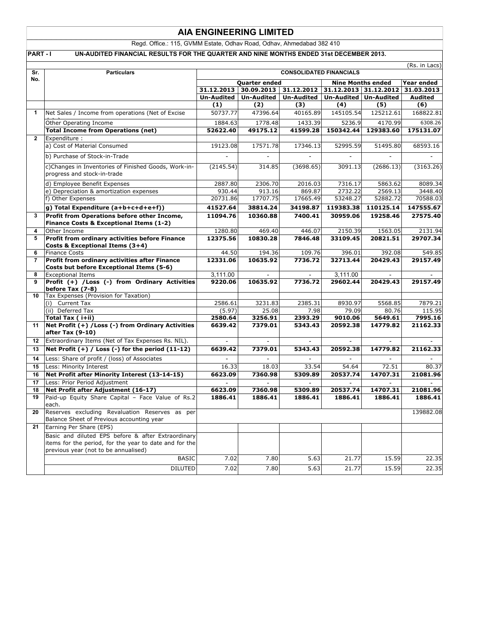### **AIA ENGINEERING LIMITED**

Regd. Office.: 115, GVMM Estate, Odhav Road, Odhav, Ahmedabad 382 410

**PART - I UN-AUDITED FINANCIAL RESULTS FOR THE QUARTER AND NINE MONTHS ENDED 31st DECEMBER 2013.** 

|                | (Rs. in Lacs)                                                                                                                                        |                                                                               |                       |                   |                  |                   |                  |
|----------------|------------------------------------------------------------------------------------------------------------------------------------------------------|-------------------------------------------------------------------------------|-----------------------|-------------------|------------------|-------------------|------------------|
| Sr.<br>No.     | <b>Particulars</b>                                                                                                                                   | <b>CONSOLIDATED FINANCIALS</b>                                                |                       |                   |                  |                   |                  |
|                |                                                                                                                                                      | <b>Nine Months ended</b><br>Quarter ended<br>31.12.2012 31.12.2013 31.12.2012 |                       |                   |                  | Year ended        |                  |
|                |                                                                                                                                                      |                                                                               | 31.12.2013 30.09.2013 |                   |                  |                   | 31.03.2013       |
|                |                                                                                                                                                      | Un-Audited                                                                    | <b>Un-Audited</b>     | <b>Un-Audited</b> | Un-Audited       | <b>Un-Audited</b> | <b>Audited</b>   |
| 1              |                                                                                                                                                      | (1)<br>50737.77                                                               | (2)<br>47396.64       | (3)<br>40165.89   | (4)<br>145105.54 | (5)<br>125212.61  | (6)<br>168822.81 |
|                | Net Sales / Income from operations (Net of Excise                                                                                                    |                                                                               |                       |                   |                  |                   |                  |
|                | Other Operating Income                                                                                                                               | 1884.63                                                                       | 1778.48               | 1433.39           | 5236.9           | 4170.99           | 6308.26          |
|                | <b>Total Income from Operations (net)</b>                                                                                                            | 52622.40                                                                      | 49175.12              | 41599.28          | 150342.44        | 129383.60         | 175131.07        |
| $\overline{2}$ | Expenditure :<br>a) Cost of Material Consumed                                                                                                        | 19123.08                                                                      | 17571.78              | 17346.13          | 52995.59         | 51495.80          | 68593.16         |
|                |                                                                                                                                                      |                                                                               |                       |                   |                  |                   |                  |
|                | b) Purchase of Stock-in-Trade                                                                                                                        |                                                                               | ÷,                    |                   | $\blacksquare$   | ÷,                |                  |
|                | c)Changes in Inventories of Finished Goods, Work-in-<br>progress and stock-in-trade                                                                  | (2145.54)                                                                     | 314.85                | (3698.65)         | 3091.13          | (2686.13)         | (3163.26)        |
|                | d) Employee Benefit Expenses                                                                                                                         | 2887.80                                                                       | 2306.70               | 2016.03           | 7316.17          | 5863.62           | 8089.34          |
|                | e) Depreciation & amortization expenses                                                                                                              | 930.44                                                                        | 913.16                | 869.87            | 2732.22          | 2569.13           | 3448.40          |
|                | f) Other Expenses                                                                                                                                    | 20731.86                                                                      | 17707.75              | 17665.49          | 53248.27         | 52882.72          | 70588.03         |
|                | g) Total Expenditure (a+b+c+d+e+f))                                                                                                                  | 41527.64                                                                      | 38814.24              | 34198.87          | 119383.38        | 110125.14         | 147555.67        |
| 3              | Profit from Operations before other Income,<br>Finance Costs & Exceptional Items (1-2)                                                               | 11094.76                                                                      | 10360.88              | 7400.41           | 30959.06         | 19258.46          | 27575.40         |
| 4              | Other Income                                                                                                                                         | 1280.80                                                                       | 469.40                | 446.07            | 2150.39          | 1563.05           | 2131.94          |
| 5              | Profit from ordinary activities before Finance<br>Costs & Exceptional Items (3+4)                                                                    | 12375.56                                                                      | 10830.28              | 7846.48           | 33109.45         | 20821.51          | 29707.34         |
| 6              | <b>Finance Costs</b>                                                                                                                                 | 44.50                                                                         | 194.36                | 109.76            | 396.01           | 392.08            | 549.85           |
| 7              | Profit from ordinary activities after Finance<br>Costs but before Exceptional Items (5-6)                                                            | 12331.06                                                                      | 10635.92              | 7736.72           | 32713.44         | 20429.43          | 29157.49         |
| 8              | <b>Exceptional Items</b>                                                                                                                             | 3,111.00                                                                      |                       | $\sim$            | 3,111.00         |                   | $\sim$           |
| 9              | Profit (+) /Loss (-) from Ordinary Activities<br>before Tax (7-8)                                                                                    | 9220.06                                                                       | 10635.92              | 7736.72           | 29602.44         | 20429.43          | 29157.49         |
| 10             | Tax Expenses (Provision for Taxation)<br>(i) Current Tax                                                                                             | 2586.61                                                                       | 3231.83               | 2385.31           | 8930.97          | 5568.85           | 7879.21          |
|                | (ii) Deferred Tax                                                                                                                                    | (5.97)                                                                        | 25.08                 | 7.98              | 79.09            | 80.76             | 115.95           |
|                | Total Tax ( i+ii)                                                                                                                                    | 2580.64                                                                       | 3256.91               | 2393.29           | 9010.06          | 5649.61           | 7995.16          |
| 11             | Net Profit (+) / Loss (-) from Ordinary Activities<br>after Tax (9-10)                                                                               | 6639.42                                                                       | 7379.01               | 5343.43           | 20592.38         | 14779.82          | 21162.33         |
| 12             | Extraordinary Items (Net of Tax Expenses Rs. NIL).                                                                                                   |                                                                               |                       |                   | $\sim$           |                   |                  |
| 13             | Net Profit $(+)$ / Loss $(-)$ for the period $(11-12)$                                                                                               | 6639.42                                                                       | 7379.01               | 5343.43           | 20592.38         | 14779.82          | 21162.33         |
| 14             | Less: Share of profit / (loss) of Associates                                                                                                         |                                                                               |                       |                   |                  |                   |                  |
| 15             | Less: Minority Interest                                                                                                                              | 16.33                                                                         | 18.03                 | 33.54             | 54.64            | 72.51             | 80.37            |
| 16             | Net Profit after Minority Interest (13-14-15)                                                                                                        | 6623.09                                                                       | 7360.98               | 5309.89           | 20537.74         | 14707.31          | 21081.96         |
| 17             | Less: Prior Period Adjustment                                                                                                                        |                                                                               |                       |                   |                  |                   |                  |
| 18             | Net Profit after Adjustment (16-17)                                                                                                                  | 6623.09                                                                       | 7360.98               | 5309.89           | 20537.74         | 14707.31          | 21081.96         |
| 19             | Paid-up Equity Share Capital - Face Value of Rs.2<br>each.                                                                                           | 1886.41                                                                       | 1886.41               | 1886.41           | 1886.41          | 1886.41           | 1886.41          |
| 20             | Reserves excluding Revaluation Reserves as per<br>Balance Sheet of Previous accounting year                                                          |                                                                               |                       |                   |                  |                   | 139882.08        |
| 21             | Earning Per Share (EPS)                                                                                                                              |                                                                               |                       |                   |                  |                   |                  |
|                | Basic and diluted EPS before & after Extraordinary<br>items for the period, for the year to date and for the<br>previous year (not to be annualised) |                                                                               |                       |                   |                  |                   |                  |
|                | <b>BASIC</b>                                                                                                                                         | 7.02                                                                          | 7.80                  | 5.63              | 21.77            | 15.59             | 22.35            |
|                | <b>DILUTED</b>                                                                                                                                       | 7.02                                                                          | 7.80                  | 5.63              | 21.77            | 15.59             | 22.35            |
|                |                                                                                                                                                      |                                                                               |                       |                   |                  |                   |                  |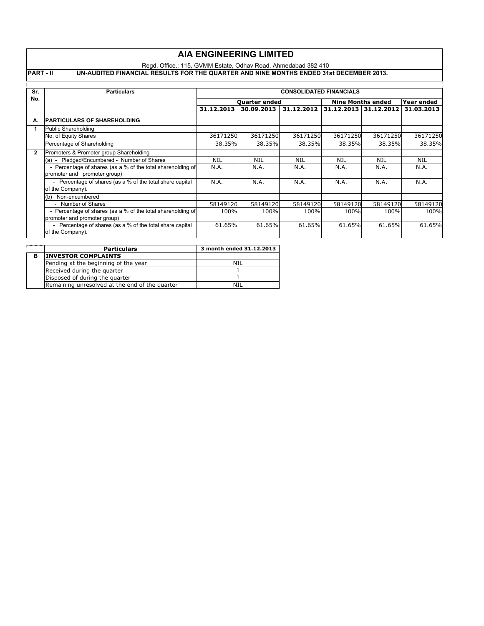|                | <b>AIA ENGINEERING LIMITED</b>                                                                           |                                |            |            |                          |                       |            |  |
|----------------|----------------------------------------------------------------------------------------------------------|--------------------------------|------------|------------|--------------------------|-----------------------|------------|--|
|                | Regd. Office.: 115, GVMM Estate, Odhav Road, Ahmedabad 382 410                                           |                                |            |            |                          |                       |            |  |
|                | <b>PART-II</b><br>UN-AUDITED FINANCIAL RESULTS FOR THE QUARTER AND NINE MONTHS ENDED 31st DECEMBER 2013. |                                |            |            |                          |                       |            |  |
| Sr.            | <b>Particulars</b>                                                                                       | <b>CONSOLIDATED FINANCIALS</b> |            |            |                          |                       |            |  |
| No.            |                                                                                                          | <b>Ouarter ended</b>           |            |            | <b>Nine Months ended</b> |                       | Year ended |  |
|                |                                                                                                          | 31.12.2013                     | 30.09.2013 | 31.12.2012 |                          | 31.12.2013 31.12.2012 | 31.03.2013 |  |
| А.             | <b>PARTICULARS OF SHAREHOLDING</b>                                                                       |                                |            |            |                          |                       |            |  |
| 1              | Public Shareholding                                                                                      |                                |            |            |                          |                       |            |  |
|                | No. of Equity Shares                                                                                     | 36171250                       | 36171250   | 36171250   | 36171250                 | 36171250              | 36171250   |  |
|                | Percentage of Shareholding                                                                               | 38.35%                         | 38.35%     | 38.35%     | 38.35%                   | 38.35%                | 38.35%     |  |
| $\overline{2}$ | Promoters & Promoter group Shareholding                                                                  |                                |            |            |                          |                       |            |  |
|                | (a) - Pledged/Encumbered - Number of Shares                                                              | <b>NIL</b>                     | <b>NIL</b> | <b>NIL</b> | <b>NIL</b>               | <b>NIL</b>            | <b>NIL</b> |  |
|                | - Percentage of shares (as a % of the total shareholding of<br>promoter and promoter group)              | N.A.                           | N.A.       | N.A.       | N.A.                     | N.A.                  | N.A.       |  |
|                | - Percentage of shares (as a % of the total share capital<br>of the Company).                            | N.A.                           | N.A.       | N.A.       | N.A.                     | N.A.                  | N.A.       |  |
|                | (b) Non-encumbered                                                                                       |                                |            |            |                          |                       |            |  |
|                | - Number of Shares                                                                                       | 58149120                       | 58149120   | 58149120   | 58149120                 | 58149120              | 58149120   |  |
|                | - Percentage of shares (as a % of the total shareholding of<br>promoter and promoter group)              | 100%                           | 100%       | 100%       | 100%                     | 100%                  | 100%       |  |
|                | - Percentage of shares (as a % of the total share capital<br>of the Company).                            | 61.65%                         | 61.65%     | 61.65%     | 61.65%                   | 61.65%                | 61.65%     |  |

|   | <b>Particulars</b>                             | 3 month ended 31.12.2013 |  |  |
|---|------------------------------------------------|--------------------------|--|--|
| в | <b>INVESTOR COMPLAINTS</b>                     |                          |  |  |
|   | Pending at the beginning of the year           | NH                       |  |  |
|   | Received during the quarter                    |                          |  |  |
|   | Disposed of during the quarter                 |                          |  |  |
|   | Remaining unresolved at the end of the quarter | NTI                      |  |  |